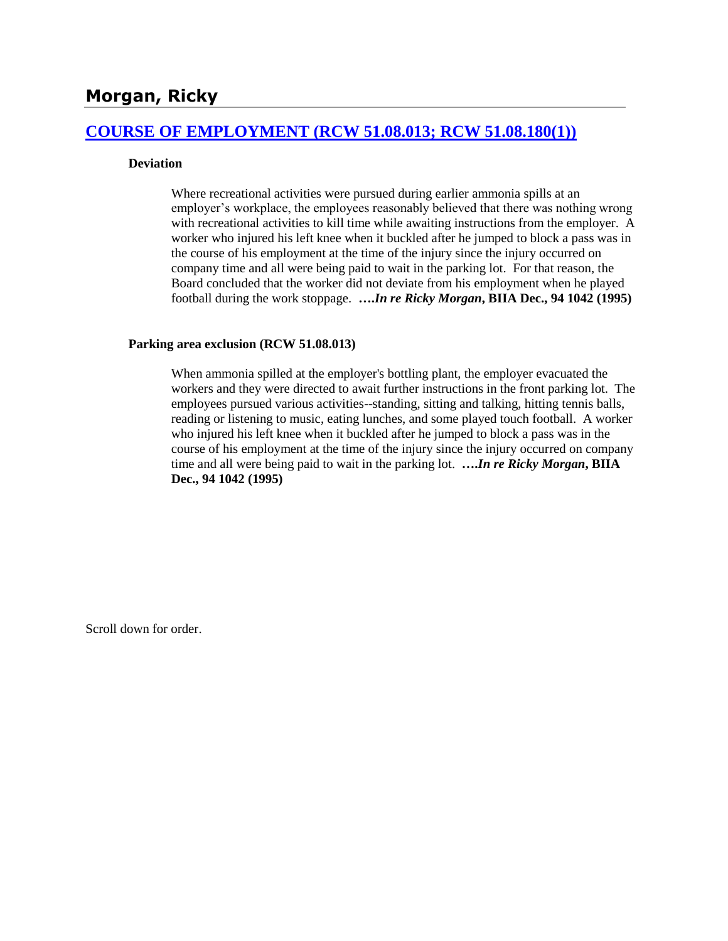# **[COURSE OF EMPLOYMENT \(RCW 51.08.013; RCW 51.08.180\(1\)\)](http://www.biia.wa.gov/SDSubjectIndex.html#COURSE_OF_EMPLOYMENT)**

## **Deviation**

Where recreational activities were pursued during earlier ammonia spills at an employer's workplace, the employees reasonably believed that there was nothing wrong with recreational activities to kill time while awaiting instructions from the employer. A worker who injured his left knee when it buckled after he jumped to block a pass was in the course of his employment at the time of the injury since the injury occurred on company time and all were being paid to wait in the parking lot. For that reason, the Board concluded that the worker did not deviate from his employment when he played football during the work stoppage. **….***In re Ricky Morgan***, BIIA Dec., 94 1042 (1995)**

#### **Parking area exclusion (RCW 51.08.013)**

When ammonia spilled at the employer's bottling plant, the employer evacuated the workers and they were directed to await further instructions in the front parking lot. The employees pursued various activities--standing, sitting and talking, hitting tennis balls, reading or listening to music, eating lunches, and some played touch football. A worker who injured his left knee when it buckled after he jumped to block a pass was in the course of his employment at the time of the injury since the injury occurred on company time and all were being paid to wait in the parking lot. **….***In re Ricky Morgan***, BIIA Dec., 94 1042 (1995)** 

Scroll down for order.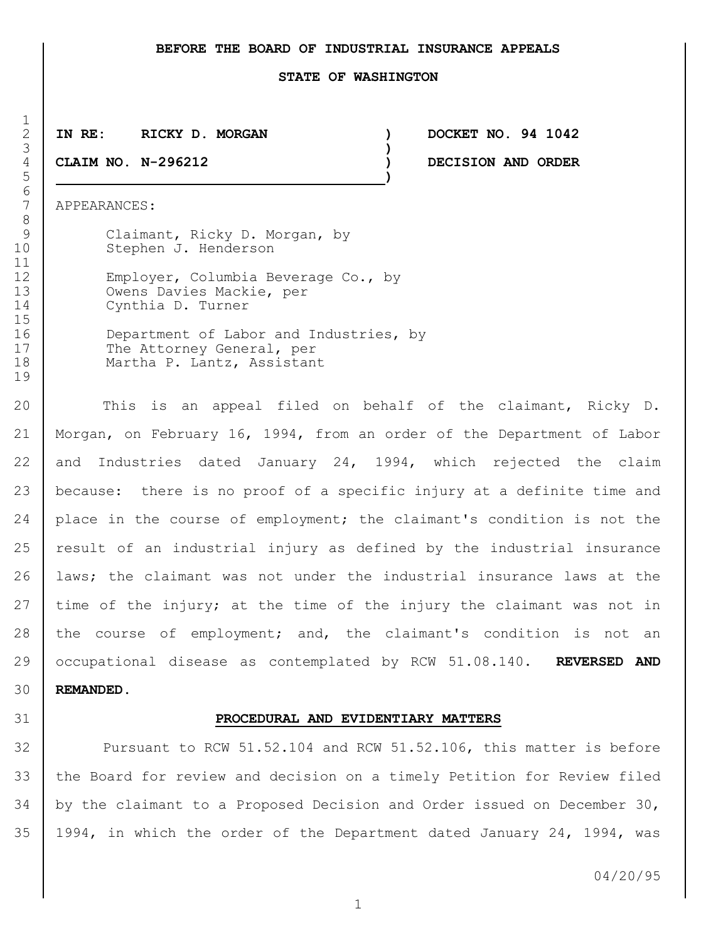### **BEFORE THE BOARD OF INDUSTRIAL INSURANCE APPEALS**

#### **STATE OF WASHINGTON**

3 **)**

5 **)**

2 **IN RE: RICKY D. MORGAN ) DOCKET NO. 94 1042** 4 **CLAIM NO. N-296212 ) DECISION AND ORDER**

7 APPEARANCES:

 $\frac{1}{2}$ 

6<br>7

8

19

|    | Claimant, Ricky D. Morgan, by          |
|----|----------------------------------------|
| 10 | Stephen J. Henderson                   |
| 11 |                                        |
| 12 | Employer, Columbia Beverage Co., by    |
| 13 | Owens Davies Mackie, per               |
| 14 | Cynthia D. Turner                      |
| 15 |                                        |
| 16 | Department of Labor and Industries, by |
| 17 | The Attorney General, per              |
| 18 | Martha P. Lantz, Assistant             |

20 This is an appeal filed on behalf of the claimant, Ricky D. 21 Morgan, on February 16, 1994, from an order of the Department of Labor 22 and Industries dated January 24, 1994, which rejected the claim 23 because: there is no proof of a specific injury at a definite time and 24 place in the course of employment; the claimant's condition is not the 25 result of an industrial injury as defined by the industrial insurance 26 | laws; the claimant was not under the industrial insurance laws at the 27 time of the injury; at the time of the injury the claimant was not in 28 the course of employment; and, the claimant's condition is not an 29 occupational disease as contemplated by RCW 51.08.140. **REVERSED AND**  30 **REMANDED.**

## 31 **PROCEDURAL AND EVIDENTIARY MATTERS**

 Pursuant to RCW 51.52.104 and RCW 51.52.106, this matter is before the Board for review and decision on a timely Petition for Review filed by the claimant to a Proposed Decision and Order issued on December 30, 1994, in which the order of the Department dated January 24, 1994, was

04/20/95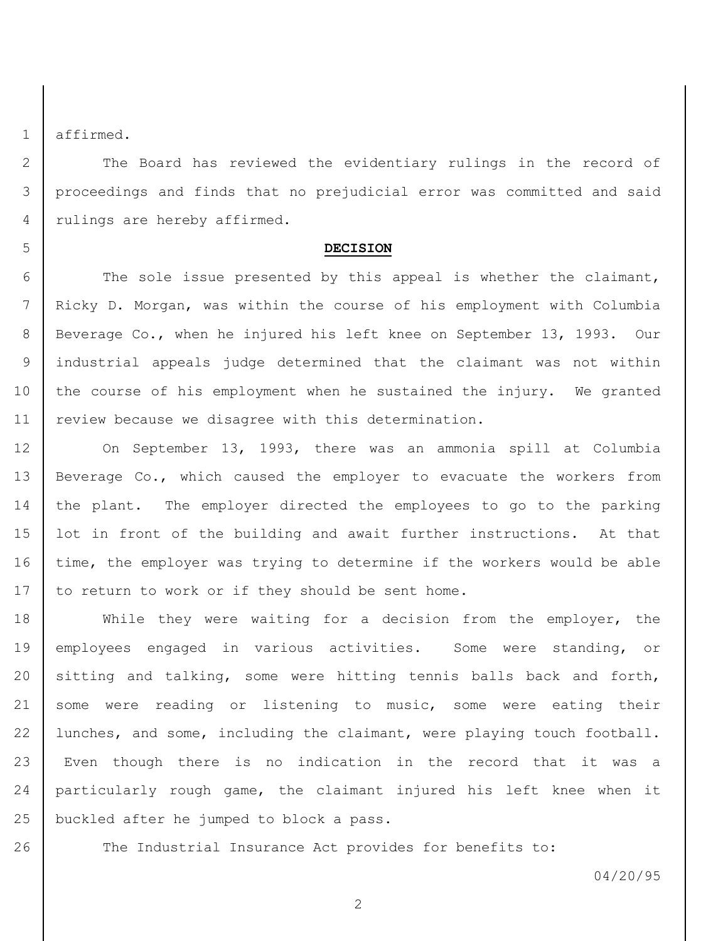1 affirmed.

2 The Board has reviewed the evidentiary rulings in the record of 3 proceedings and finds that no prejudicial error was committed and said 4 | rulings are hereby affirmed.

#### 5 **DECISION**

6 The sole issue presented by this appeal is whether the claimant, 7 Ricky D. Morgan, was within the course of his employment with Columbia 8 Beverage Co., when he injured his left knee on September 13, 1993. Our 9 industrial appeals judge determined that the claimant was not within 10 the course of his employment when he sustained the injury. We granted 11 | review because we disagree with this determination.

12 On September 13, 1993, there was an ammonia spill at Columbia 13 Beverage Co., which caused the employer to evacuate the workers from 14 the plant. The employer directed the employees to go to the parking 15 lot in front of the building and await further instructions. At that 16 time, the employer was trying to determine if the workers would be able 17 to return to work or if they should be sent home.

 While they were waiting for a decision from the employer, the employees engaged in various activities. Some were standing, or sitting and talking, some were hitting tennis balls back and forth, 21 some were reading or listening to music, some were eating their lunches, and some, including the claimant, were playing touch football. Even though there is no indication in the record that it was a particularly rough game, the claimant injured his left knee when it buckled after he jumped to block a pass.

26 The Industrial Insurance Act provides for benefits to:

04/20/95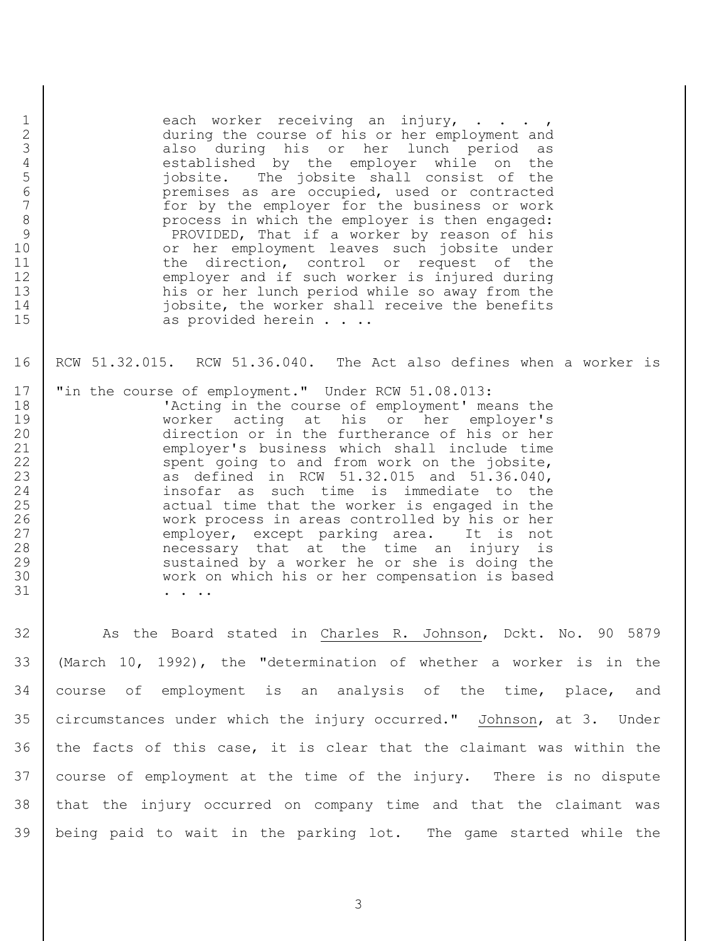| $\mathbf{1}$<br>$\mathbf{2}$<br>3<br>$\overline{4}$<br>5<br>6<br>$\overline{7}$<br>8<br>$\mathcal{G}$<br>10<br>11<br>12<br>13<br>14<br>15 | each worker receiving an injury, ,<br>during the course of his or her employment and<br>also during his or her lunch period as<br>established by the employer while on the<br>jobsite. The jobsite shall consist of the<br>premises as are occupied, used or contracted<br>for by the employer for the business or work<br>process in which the employer is then engaged:<br>PROVIDED, That if a worker by reason of his<br>or her employment leaves such jobsite under<br>the direction, control or request of the<br>employer and if such worker is injured during<br>his or her lunch period while so away from the<br>jobsite, the worker shall receive the benefits<br>as provided herein. |
|-------------------------------------------------------------------------------------------------------------------------------------------|-------------------------------------------------------------------------------------------------------------------------------------------------------------------------------------------------------------------------------------------------------------------------------------------------------------------------------------------------------------------------------------------------------------------------------------------------------------------------------------------------------------------------------------------------------------------------------------------------------------------------------------------------------------------------------------------------|
| 16                                                                                                                                        | RCW 51.32.015. RCW 51.36.040. The Act also defines when a worker is                                                                                                                                                                                                                                                                                                                                                                                                                                                                                                                                                                                                                             |
| 17<br>18<br>19<br>20<br>21<br>22<br>23<br>24<br>25<br>26<br>27<br>28<br>29<br>30<br>31                                                    | "in the course of employment." Under RCW 51.08.013:<br>'Acting in the course of employment' means the<br>worker acting at his or her employer's<br>direction or in the furtherance of his or her<br>employer's business which shall include time<br>spent going to and from work on the jobsite,<br>as defined in RCW 51.32.015 and 51.36.040,<br>insofar as such time is immediate to the<br>actual time that the worker is engaged in the<br>work process in areas controlled by his or her<br>employer, except parking area. It is not<br>necessary that at the time an injury is<br>sustained by a worker he or she is doing the<br>work on which his or her compensation is based          |
| 32                                                                                                                                        | As the Board stated in Charles R. Johnson, Dckt. No. 90 5879                                                                                                                                                                                                                                                                                                                                                                                                                                                                                                                                                                                                                                    |
| 33                                                                                                                                        | (March 10, 1992), the "determination of whether a worker is in the                                                                                                                                                                                                                                                                                                                                                                                                                                                                                                                                                                                                                              |
| 34                                                                                                                                        | course of employment is an analysis of the time, place, and                                                                                                                                                                                                                                                                                                                                                                                                                                                                                                                                                                                                                                     |
| 35                                                                                                                                        | circumstances under which the injury occurred." Johnson, at 3. Under                                                                                                                                                                                                                                                                                                                                                                                                                                                                                                                                                                                                                            |
| 36                                                                                                                                        | the facts of this case, it is clear that the claimant was within the                                                                                                                                                                                                                                                                                                                                                                                                                                                                                                                                                                                                                            |
| 37                                                                                                                                        | course of employment at the time of the injury. There is no dispute                                                                                                                                                                                                                                                                                                                                                                                                                                                                                                                                                                                                                             |
| 38                                                                                                                                        | that the injury occurred on company time and that the claimant was                                                                                                                                                                                                                                                                                                                                                                                                                                                                                                                                                                                                                              |
| 39                                                                                                                                        | being paid to wait in the parking lot. The game started while the                                                                                                                                                                                                                                                                                                                                                                                                                                                                                                                                                                                                                               |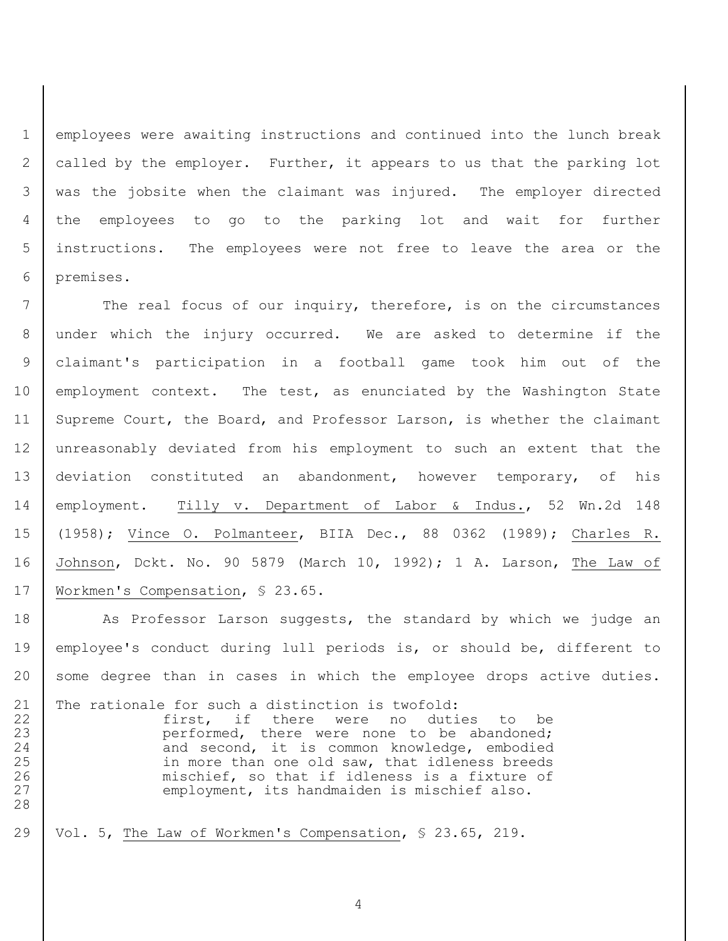employees were awaiting instructions and continued into the lunch break called by the employer. Further, it appears to us that the parking lot was the jobsite when the claimant was injured. The employer directed the employees to go to the parking lot and wait for further instructions. The employees were not free to leave the area or the premises.

7 The real focus of our inquiry, therefore, is on the circumstances 8 under which the injury occurred. We are asked to determine if the 9 claimant's participation in a football game took him out of the 10 employment context. The test, as enunciated by the Washington State 11 Supreme Court, the Board, and Professor Larson, is whether the claimant 12 unreasonably deviated from his employment to such an extent that the 13 deviation constituted an abandonment, however temporary, of his 14 employment. Tilly v. Department of Labor & Indus., 52 Wn.2d 148 15 (1958); Vince O. Polmanteer, BIIA Dec., 88 0362 (1989); Charles R. 16 Johnson, Dckt. No. 90 5879 (March 10, 1992); 1 A. Larson, The Law of 17 | Workmen's Compensation, § 23.65.

18 As Professor Larson suggests, the standard by which we judge an 19 employee's conduct during lull periods is, or should be, different to 20 some degree than in cases in which the employee drops active duties.

21 The rationale for such a distinction is twofold: 22 first, if there were no duties to be 23 | performed, there were none to be abandoned; 24 | and second, it is common knowledge, embodied 25 in more than one old saw, that idleness breeds 26 mischief, so that if idleness is a fixture of 27 | employment, its handmaiden is mischief also. 28

29 Vol. 5, The Law of Workmen's Compensation, § 23.65, 219.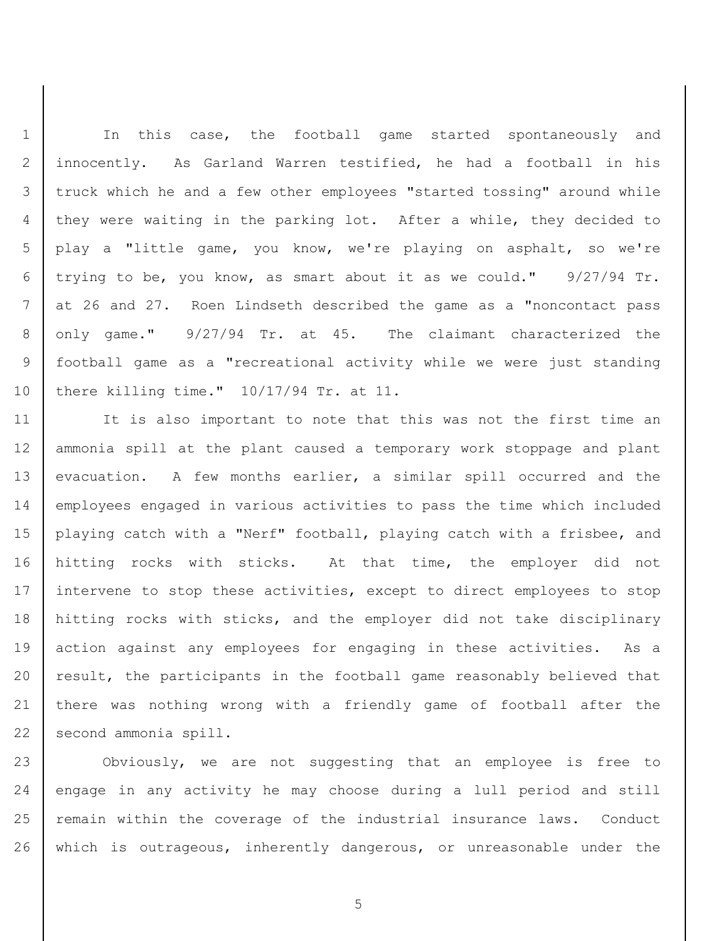1 | In this case, the football game started spontaneously and innocently. As Garland Warren testified, he had a football in his truck which he and a few other employees "started tossing" around while they were waiting in the parking lot. After a while, they decided to play a "little game, you know, we're playing on asphalt, so we're trying to be, you know, as smart about it as we could." 9/27/94 Tr. at 26 and 27. Roen Lindseth described the game as a "noncontact pass only game." 9/27/94 Tr. at 45. The claimant characterized the football game as a "recreational activity while we were just standing there killing time." 10/17/94 Tr. at 11.

11 It is also important to note that this was not the first time an ammonia spill at the plant caused a temporary work stoppage and plant 13 | evacuation. A few months earlier, a similar spill occurred and the employees engaged in various activities to pass the time which included playing catch with a "Nerf" football, playing catch with a frisbee, and hitting rocks with sticks. At that time, the employer did not 17 intervene to stop these activities, except to direct employees to stop hitting rocks with sticks, and the employer did not take disciplinary 19 action against any employees for engaging in these activities. As a 20 result, the participants in the football game reasonably believed that 21 there was nothing wrong with a friendly game of football after the 22 second ammonia spill.

 Obviously, we are not suggesting that an employee is free to 24 | engage in any activity he may choose during a lull period and still 25 | remain within the coverage of the industrial insurance laws. Conduct which is outrageous, inherently dangerous, or unreasonable under the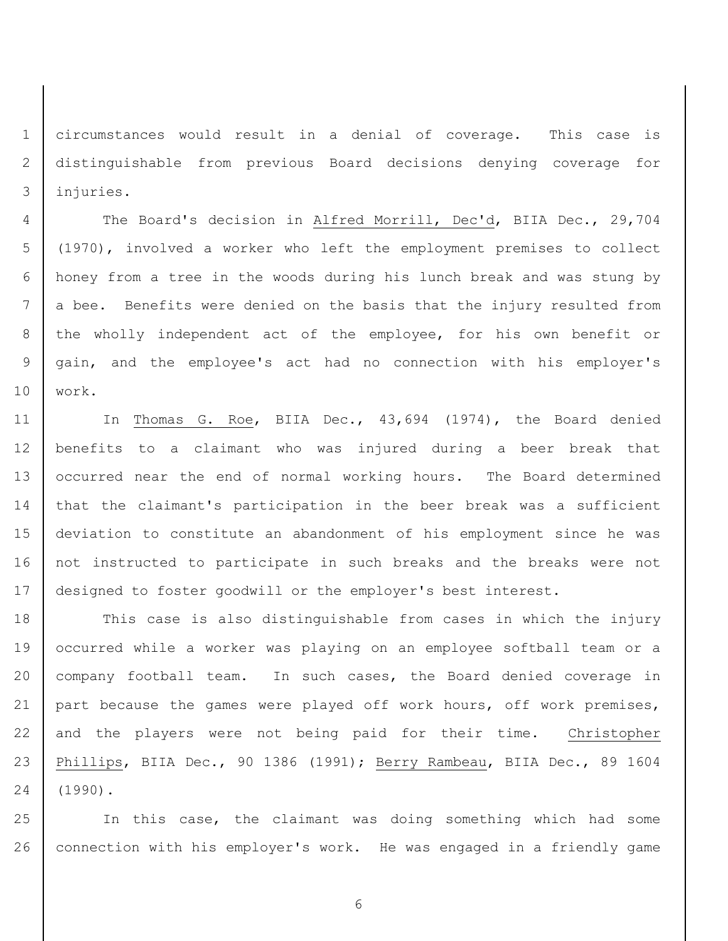circumstances would result in a denial of coverage. This case is distinguishable from previous Board decisions denying coverage for injuries.

4 The Board's decision in Alfred Morrill, Dec'd, BIIA Dec., 29,704 (1970), involved a worker who left the employment premises to collect honey from a tree in the woods during his lunch break and was stung by 7 a bee. Benefits were denied on the basis that the injury resulted from 8 the wholly independent act of the employee, for his own benefit or gain, and the employee's act had no connection with his employer's work.

11 | In Thomas G. Roe, BIIA Dec., 43,694 (1974), the Board denied benefits to a claimant who was injured during a beer break that 13 | occurred near the end of normal working hours. The Board determined that the claimant's participation in the beer break was a sufficient deviation to constitute an abandonment of his employment since he was not instructed to participate in such breaks and the breaks were not 17 designed to foster goodwill or the employer's best interest.

18 This case is also distinguishable from cases in which the injury occurred while a worker was playing on an employee softball team or a 20 | company football team. In such cases, the Board denied coverage in 21 part because the games were played off work hours, off work premises, 22 and the players were not being paid for their time. Christopher Phillips, BIIA Dec., 90 1386 (1991); Berry Rambeau, BIIA Dec., 89 1604 (1990).

 In this case, the claimant was doing something which had some connection with his employer's work. He was engaged in a friendly game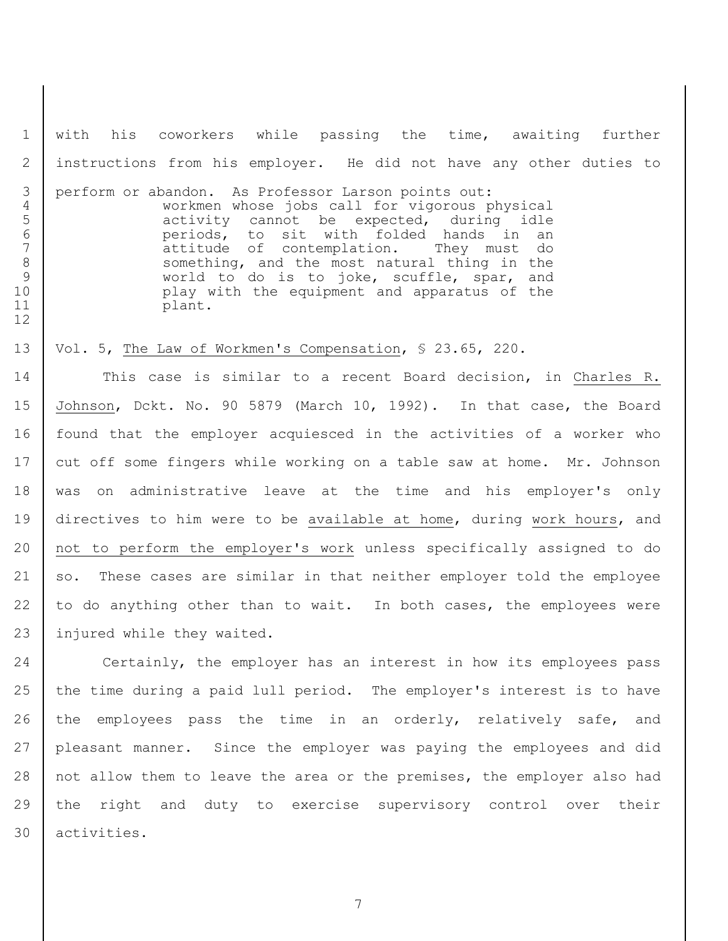with his coworkers while passing the time, awaiting further instructions from his employer. He did not have any other duties to

 perform or abandon. As Professor Larson points out: workmen whose jobs call for vigorous physical 5 | activity cannot be expected, during idle periods, to sit with folded hands in an 7 attitude of contemplation. They must do 8 Something, and the most natural thing in the 9 world to do is to joke, scuffle, spar, and play with the equipment and apparatus of the 11 plant.

### Vol. 5, The Law of Workmen's Compensation, § 23.65, 220.

 This case is similar to a recent Board decision, in Charles R. Johnson, Dckt. No. 90 5879 (March 10, 1992). In that case, the Board found that the employer acquiesced in the activities of a worker who 17 cut off some fingers while working on a table saw at home. Mr. Johnson was on administrative leave at the time and his employer's only directives to him were to be available at home, during work hours, and not to perform the employer's work unless specifically assigned to do 21 so. These cases are similar in that neither employer told the employee 22 to do anything other than to wait. In both cases, the employees were 23 | injured while they waited.

 Certainly, the employer has an interest in how its employees pass 25 the time during a paid lull period. The employer's interest is to have 26 | the employees pass the time in an orderly, relatively safe, and pleasant manner. Since the employer was paying the employees and did 28 | not allow them to leave the area or the premises, the employer also had the right and duty to exercise supervisory control over their activities.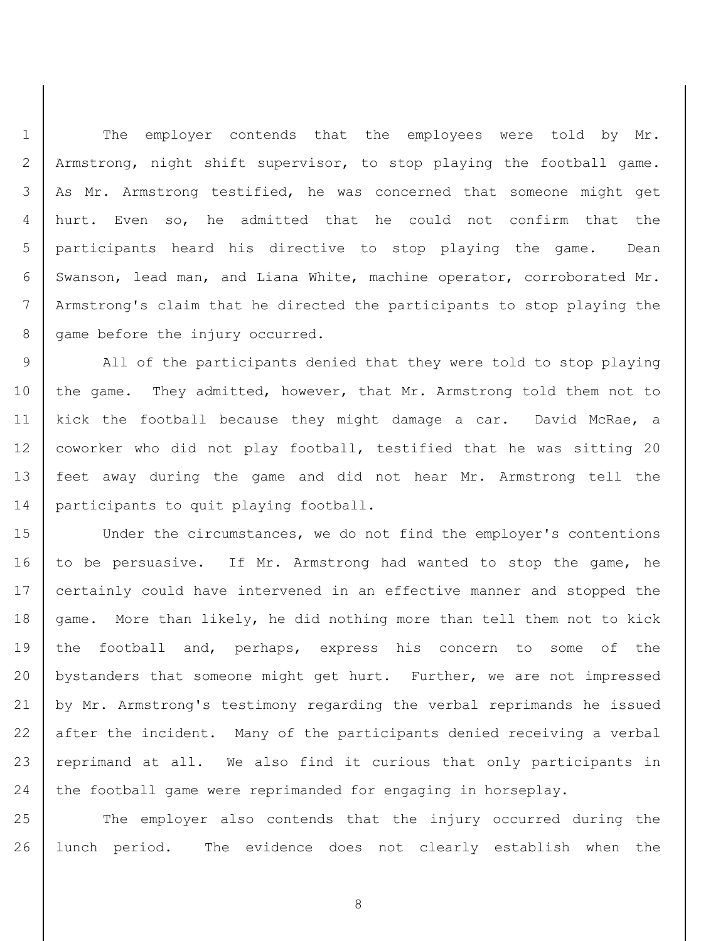1 | The employer contends that the employees were told by Mr. Armstrong, night shift supervisor, to stop playing the football game. As Mr. Armstrong testified, he was concerned that someone might get hurt. Even so, he admitted that he could not confirm that the participants heard his directive to stop playing the game. Dean Swanson, lead man, and Liana White, machine operator, corroborated Mr. Armstrong's claim that he directed the participants to stop playing the 8 | game before the injury occurred.

9 | All of the participants denied that they were told to stop playing 10 the game. They admitted, however, that Mr. Armstrong told them not to 11 kick the football because they might damage a car. David McRae, a 12 | coworker who did not play football, testified that he was sitting 20 13 feet away during the game and did not hear Mr. Armstrong tell the 14 participants to quit playing football.

15 Under the circumstances, we do not find the employer's contentions 16 to be persuasive. If Mr. Armstrong had wanted to stop the game, he 17 certainly could have intervened in an effective manner and stopped the 18 game. More than likely, he did nothing more than tell them not to kick 19 the football and, perhaps, express his concern to some of the 20 bystanders that someone might get hurt. Further, we are not impressed 21 by Mr. Armstrong's testimony regarding the verbal reprimands he issued 22 after the incident. Many of the participants denied receiving a verbal 23 reprimand at all. We also find it curious that only participants in 24 the football game were reprimanded for engaging in horseplay.

25 The employer also contends that the injury occurred during the 26 lunch period. The evidence does not clearly establish when the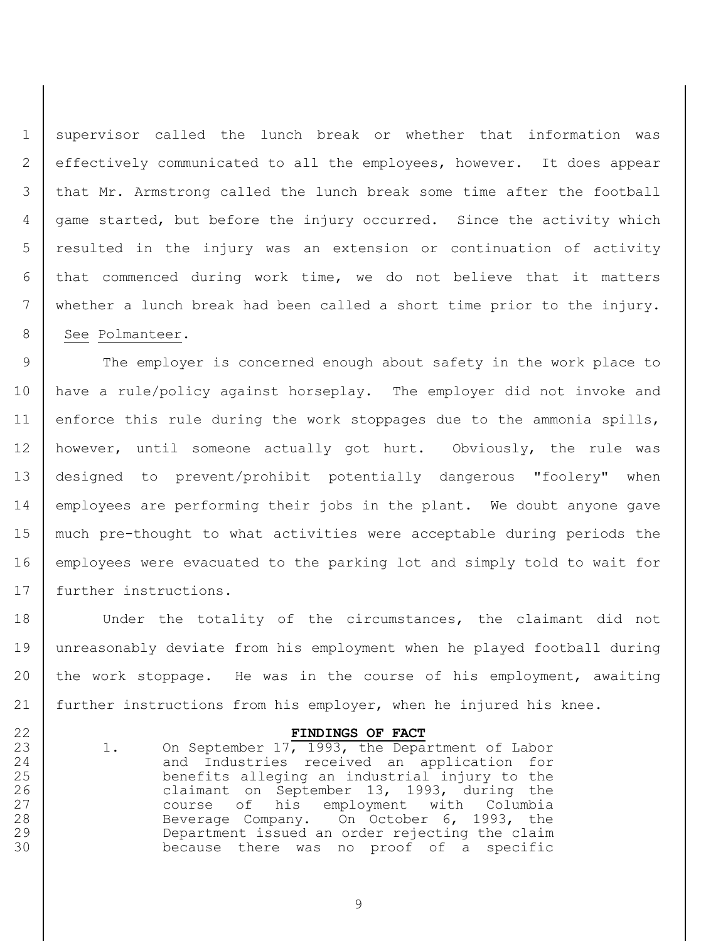supervisor called the lunch break or whether that information was effectively communicated to all the employees, however. It does appear that Mr. Armstrong called the lunch break some time after the football game started, but before the injury occurred. Since the activity which resulted in the injury was an extension or continuation of activity that commenced during work time, we do not believe that it matters whether a lunch break had been called a short time prior to the injury. 8 | See Polmanteer.

9 The employer is concerned enough about safety in the work place to have a rule/policy against horseplay. The employer did not invoke and 11 enforce this rule during the work stoppages due to the ammonia spills, however, until someone actually got hurt. Obviously, the rule was designed to prevent/prohibit potentially dangerous "foolery" when employees are performing their jobs in the plant. We doubt anyone gave much pre-thought to what activities were acceptable during periods the employees were evacuated to the parking lot and simply told to wait for 17 | further instructions.

18 Under the totality of the circumstances, the claimant did not unreasonably deviate from his employment when he played football during the work stoppage. He was in the course of his employment, awaiting further instructions from his employer, when he injured his knee.

## **FINDINGS OF FACT**

23 1. On September 17, 1993, the Department of Labor 24 and Industries received an application for benefits alleging an industrial injury to the 26 claimant on September 13, 1993, during the course of his employment with Columbia 28 Beverage Company. On October 6, 1993, the Department issued an order rejecting the claim because there was no proof of a specific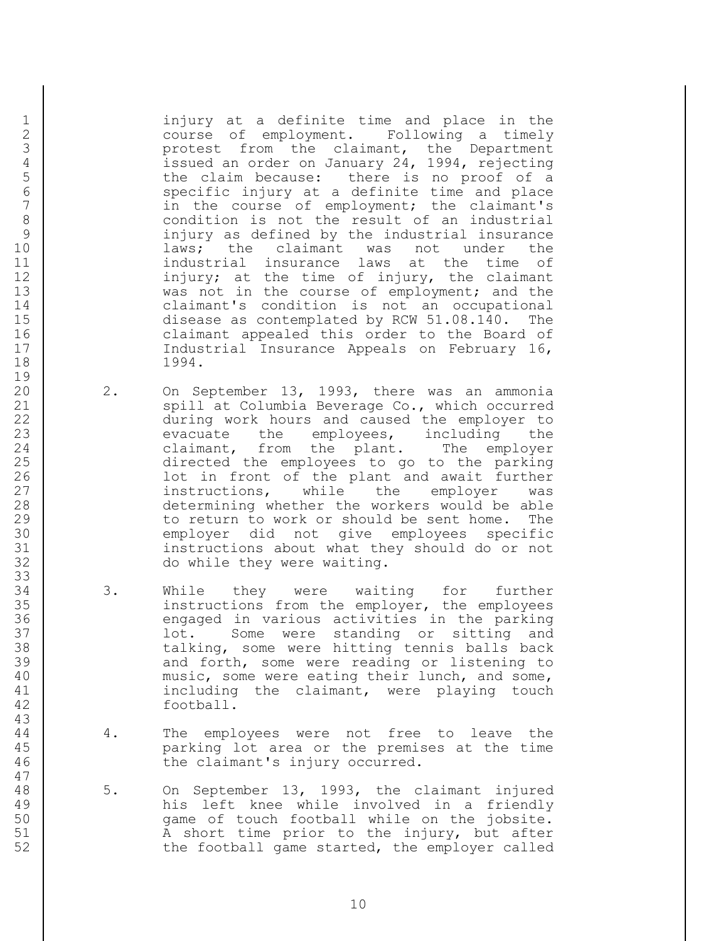1 injury at a definite time and place in the 2 course of employment. Following a timely 3 protest from the claimant, the Department<br>4 issued an order on January 24, 1994, rejecting 4 issued an order on January 24, 1994, rejecting<br>5 the claim because: there is no proof of a 5 the claim because: there is no proof of a<br>6 specific injury at a definite time and place 6 specific injury at a definite time and place<br>7 (a) in the course of employment; the claimant's in the course of employment; the claimant's 8 condition is not the result of an industrial 9 injury as defined by the industrial insurance 10 **laws;** the claimant was not under the 11 | industrial insurance laws at the time of 12 | injury; at the time of injury, the claimant 13 was not in the course of employment; and the 14 claimant's condition is not an occupational 15 disease as contemplated by RCW 51.08.140. The 16 claimant appealed this order to the Board of 17 | Constructural Insurance Appeals on February 16, 18 1994.

- 20 2. On September 13, 1993, there was an ammonia 21 | Spill at Columbia Beverage Co., which occurred 22 | during work hours and caused the employer to 23 evacuate the employees, including the 24 claimant, from the plant. The employer 25 directed the employees to go to the parking 26 | Contract in front of the plant and await further 27 instructions, while the employer was 28 determining whether the workers would be able 29 to return to work or should be sent home. The 30 employer did not give employees specific 31 instructions about what they should do or not 32 do while they were waiting.
- 34 | 3. While they were waiting for further 35 instructions from the employer, the employees 36 engaged in various activities in the parking 37 lot. Some were standing or sitting and 38 talking, some were hitting tennis balls back 39 and forth, some were reading or listening to 40 | music, some were eating their lunch, and some, 41 including the claimant, were playing touch 42 football.
- 44 4. The employees were not free to leave the 45 parking lot area or the premises at the time 46 the claimant's injury occurred.
- 48 5. On September 13, 1993, the claimant injured 49 his left knee while involved in a friendly 50 game of touch football while on the jobsite. 51 | A short time prior to the injury, but after 52 the football game started, the employer called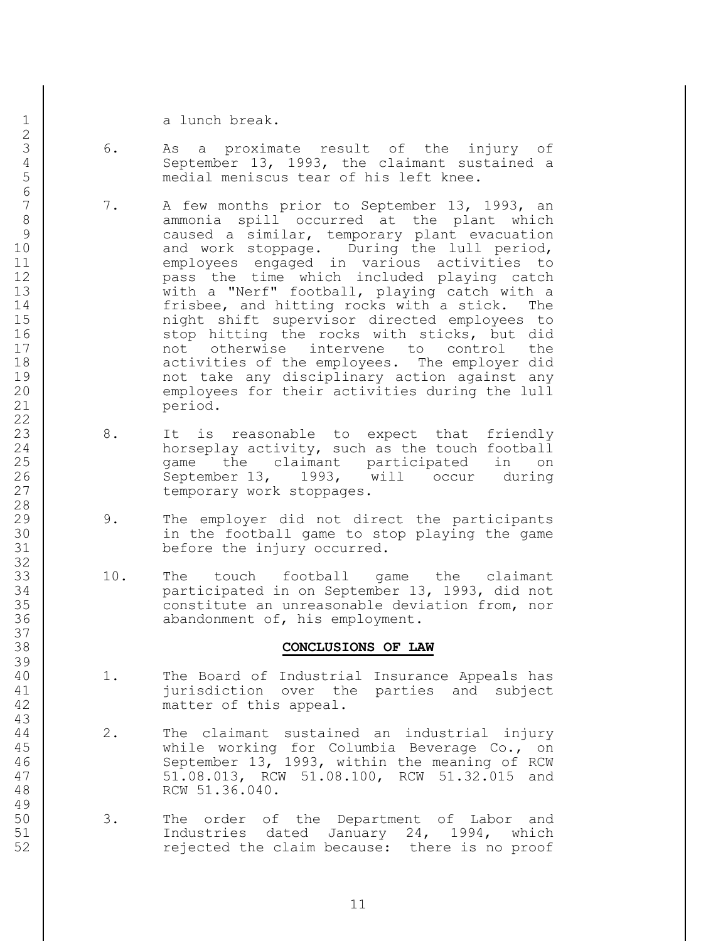1 a lunch break.

- 3 6. As a proximate result of the injury of 4 September 13, 1993, the claimant sustained a<br>5 medial meniscus tear of his left knee. medial meniscus tear of his left knee.
- 7. A few months prior to September 13, 1993, an 8 ammonia spill occurred at the plant which 9 caused a similar, temporary plant evacuation 10 and work stoppage. During the lull period, 11 employees engaged in various activities to 12 pass the time which included playing catch 13 | with a "Nerf" football, playing catch with a 14 frisbee, and hitting rocks with a stick. The 15 | The might shift supervisor directed employees to 16 stop hitting the rocks with sticks, but did 17 not otherwise intervene to control the 18 | **activities of the employees.** The employer did 19 | not take any disciplinary action against any 20 employees for their activities during the lull 21 period.
- 23 8. It is reasonable to expect that friendly 24 | horseplay activity, such as the touch football 25 game the claimant participated in on 26 September 13, 1993, will occur during 27 temporary work stoppages.
- 29 9. The employer did not direct the participants 30 in the football game to stop playing the game 31 before the injury occurred.
- 33 10. The touch football game the claimant 34 participated in on September 13, 1993, did not 35 constitute an unreasonable deviation from, nor 36 **abandonment of, his employment.**

### 38 **CONCLUSIONS OF LAW**

- 40 1. The Board of Industrial Insurance Appeals has 41 jurisdiction over the parties and subject 42 matter of this appeal.
- 44 2. The claimant sustained an industrial injury 45 while working for Columbia Beverage Co., on 46 September 13, 1993, within the meaning of RCW 47 51.08.013, RCW 51.08.100, RCW 51.32.015 and 48 RCW 51.36.040.
- 50 3. The order of the Department of Labor and 51 | Thustries dated January 24, 1994, which 52 rejected the claim because: there is no proof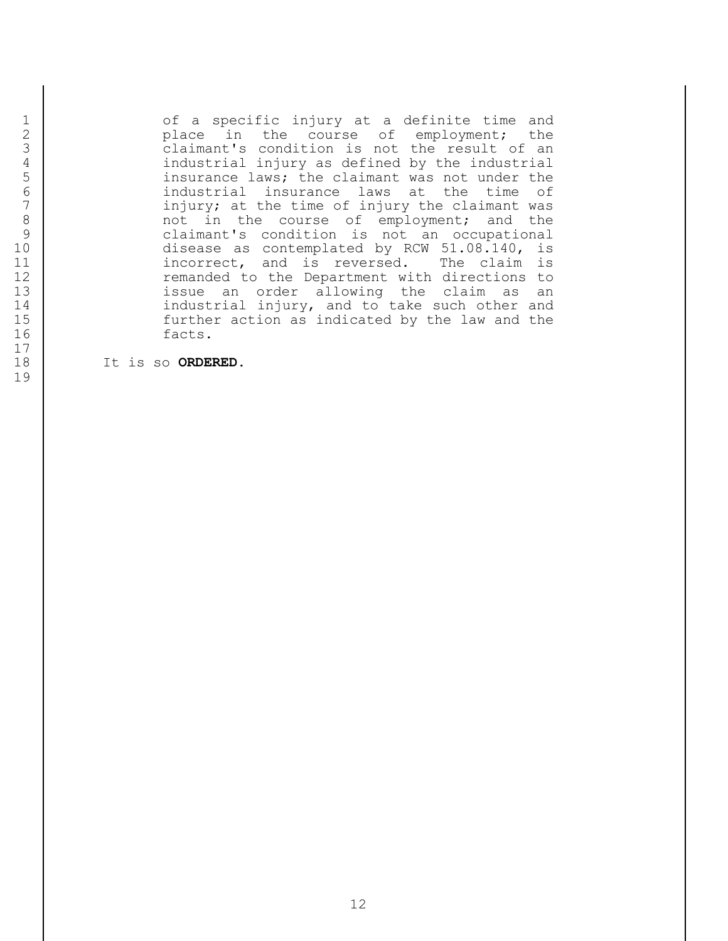1 of a specific injury at a definite time and<br>2 place in the course of employment; the 2 place in the course of employment; the<br>3 claimant's condition is not the result of an<br>4 claimant's condition is not the result of an 4 industrial injury as defined by the industrial<br>5 insurance laws; the claimant was not under the<br>industrial insurance laws at the time of insurance laws; the claimant was not under the 6 industrial insurance laws at the time of<br>7 injury; at the time of injury the claimant was injury; at the time of injury the claimant was 8 and the course of employment; and the course of employment; and the same claimant's condition is not an occupational claimant's condition is not an occupational 10 disease as contemplated by RCW 51.08.140, is 11 | incorrect, and is reversed. The claim is 12 cemanded to the Department with directions to 13 | issue an order allowing the claim as an 14 | industrial injury, and to take such other and 15 further action as indicated by the law and the 16 facts.

18 It is so **ORDERED**.